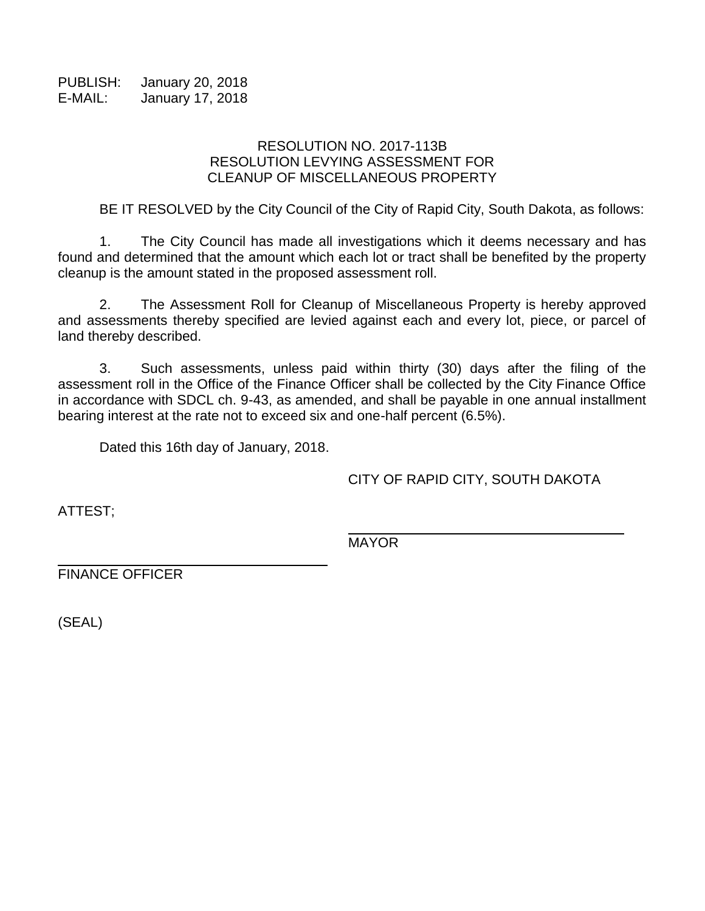PUBLISH: January 20, 2018 E-MAIL: January 17, 2018

## RESOLUTION NO. 2017-113B RESOLUTION LEVYING ASSESSMENT FOR CLEANUP OF MISCELLANEOUS PROPERTY

BE IT RESOLVED by the City Council of the City of Rapid City, South Dakota, as follows:

1. The City Council has made all investigations which it deems necessary and has found and determined that the amount which each lot or tract shall be benefited by the property cleanup is the amount stated in the proposed assessment roll.

2. The Assessment Roll for Cleanup of Miscellaneous Property is hereby approved and assessments thereby specified are levied against each and every lot, piece, or parcel of land thereby described.

3. Such assessments, unless paid within thirty (30) days after the filing of the assessment roll in the Office of the Finance Officer shall be collected by the City Finance Office in accordance with SDCL ch. 9-43, as amended, and shall be payable in one annual installment bearing interest at the rate not to exceed six and one-half percent (6.5%).

Dated this 16th day of January, 2018.

CITY OF RAPID CITY, SOUTH DAKOTA

ATTEST;

MAYOR

FINANCE OFFICER

(SEAL)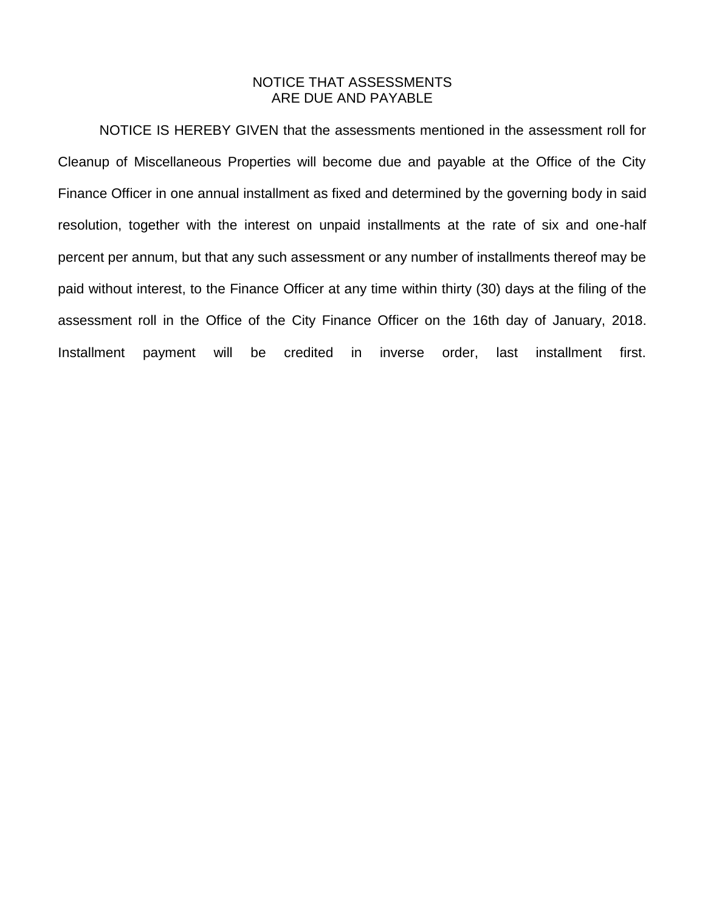## NOTICE THAT ASSESSMENTS ARE DUE AND PAYABLE

NOTICE IS HEREBY GIVEN that the assessments mentioned in the assessment roll for Cleanup of Miscellaneous Properties will become due and payable at the Office of the City Finance Officer in one annual installment as fixed and determined by the governing body in said resolution, together with the interest on unpaid installments at the rate of six and one-half percent per annum, but that any such assessment or any number of installments thereof may be paid without interest, to the Finance Officer at any time within thirty (30) days at the filing of the assessment roll in the Office of the City Finance Officer on the 16th day of January, 2018. Installment payment will be credited in inverse order, last installment first.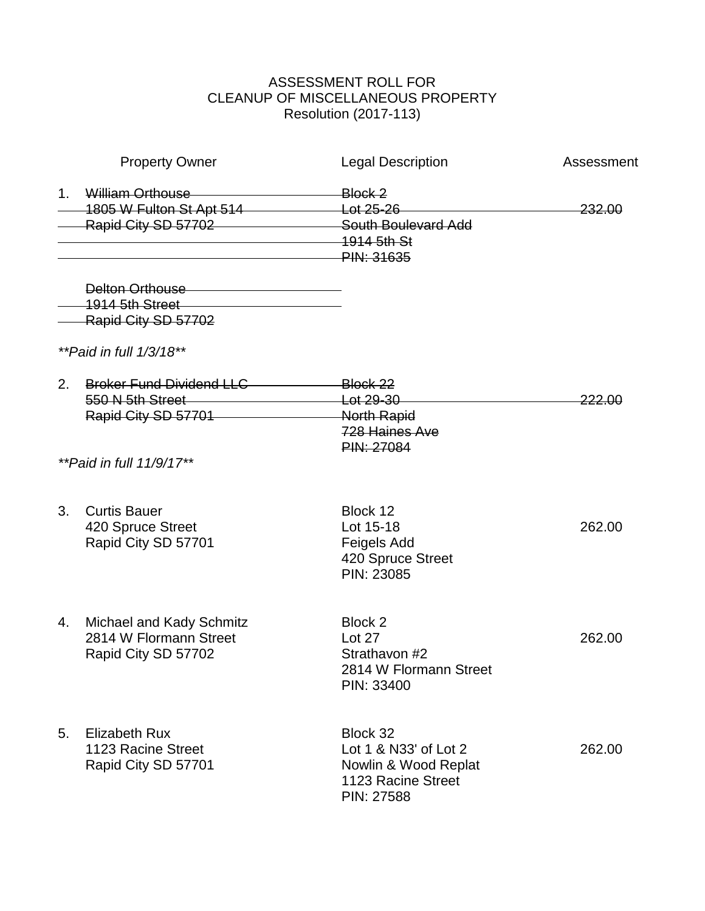## ASSESSMENT ROLL FOR CLEANUP OF MISCELLANEOUS PROPERTY Resolution (2017-113)

| <b>Property Owner</b> |                                                                                                                                                                                                                                                                                                    | <b>Legal Description</b>                                                                      | Assessment |
|-----------------------|----------------------------------------------------------------------------------------------------------------------------------------------------------------------------------------------------------------------------------------------------------------------------------------------------|-----------------------------------------------------------------------------------------------|------------|
| $1_{\cdot}$           | William Orthouse<br>1805 W Fulton St Apt 514 Lot 25-26<br>Rapid City SD 57702 South Boulevard Add                                                                                                                                                                                                  | Block 2<br>$-1914$ 5th St<br><b>PIN: 31635</b>                                                | 232.00     |
|                       | Delton Orthouse <b>Contract Contract Contract Contract Contract Contract Contract Contract Contract Contract Contract Contract Contract Contract Contract Contract Contract Contract Contract Contract Contract Contract Contrac</b><br>1914 5th Street 2004 2014 2022 2023<br>Rapid City SD 57702 |                                                                                               |            |
|                       | ** Paid in full $1/3/18**$                                                                                                                                                                                                                                                                         |                                                                                               |            |
| 2.                    | Broker Fund Dividend LLC Block 22<br>550 N 5th Street Let 29-30<br>Rapid City SD 57701 North Rapid                                                                                                                                                                                                 | 728 Haines Ave                                                                                | 222.00     |
|                       | <i>**Paid in full 11/9/17**</i>                                                                                                                                                                                                                                                                    | PIN: 27084                                                                                    |            |
| 3.                    | <b>Curtis Bauer</b><br>420 Spruce Street<br>Rapid City SD 57701                                                                                                                                                                                                                                    | Block 12<br>Lot 15-18<br>Feigels Add<br>420 Spruce Street<br>PIN: 23085                       | 262.00     |
| 4.                    | Michael and Kady Schmitz<br>2814 W Flormann Street<br>Rapid City SD 57702                                                                                                                                                                                                                          | Block 2<br>Lot 27<br>Strathavon #2<br>2814 W Flormann Street<br>PIN: 33400                    | 262.00     |
| 5.                    | <b>Elizabeth Rux</b><br>1123 Racine Street<br>Rapid City SD 57701                                                                                                                                                                                                                                  | Block 32<br>Lot 1 & N33' of Lot 2<br>Nowlin & Wood Replat<br>1123 Racine Street<br>PIN: 27588 | 262.00     |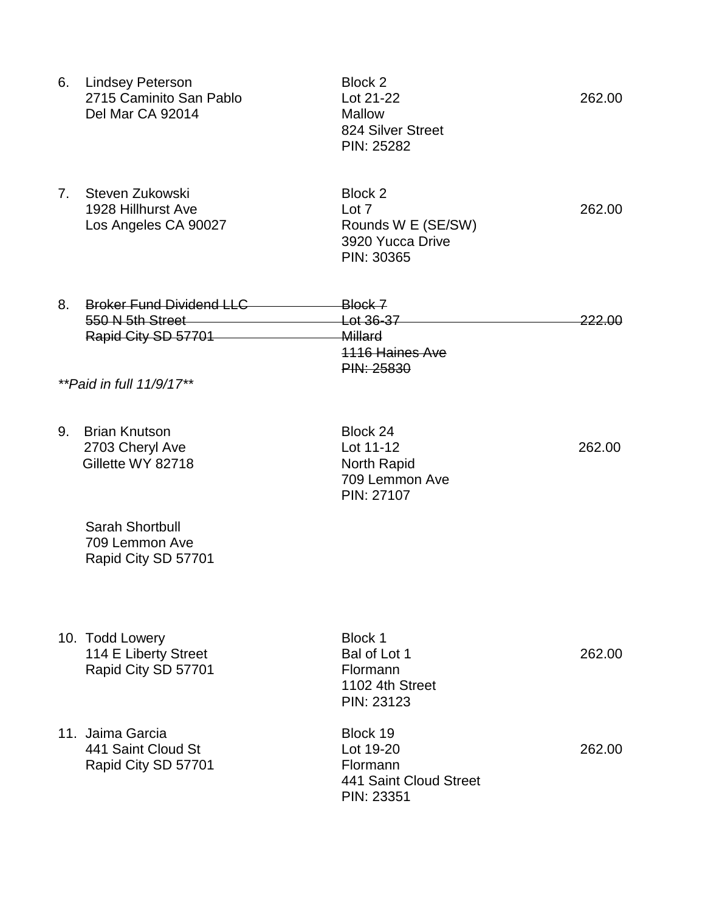|                | 6. Lindsey Peterson<br>2715 Caminito San Pablo<br>Del Mar CA 92014                                     | Block 2<br>Lot 21-22<br><b>Mallow</b><br>824 Silver Street<br>PIN: 25282    | 262.00            |
|----------------|--------------------------------------------------------------------------------------------------------|-----------------------------------------------------------------------------|-------------------|
| 7 <sub>1</sub> | Steven Zukowski<br>1928 Hillhurst Ave<br>Los Angeles CA 90027                                          | Block 2<br>Lot 7<br>Rounds W E (SE/SW)<br>3920 Yucca Drive<br>PIN: 30365    | 262.00            |
| 8.             | <b>Broker Fund Dividend LLC</b><br>550 N 5th Street<br>Rapid City SD 57701<br>**Paid in full 11/9/17** | Block 7<br>Lot 36-37<br>Millard<br><b>1116 Haines Ave</b><br>PIN: 25830     | <del>222.00</del> |
| 9.             | <b>Brian Knutson</b><br>2703 Cheryl Ave<br>Gillette WY 82718                                           | Block 24<br>Lot 11-12<br>North Rapid<br>709 Lemmon Ave<br>PIN: 27107        | 262.00            |
|                | Sarah Shortbull<br>709 Lemmon Ave<br>Rapid City SD 57701                                               |                                                                             |                   |
|                | 10. Todd Lowery<br>114 E Liberty Street<br>Rapid City SD 57701                                         | Block 1<br>Bal of Lot 1<br>Flormann<br>1102 4th Street<br><b>PIN: 23123</b> | 262.00            |
|                | 11. Jaima Garcia<br>441 Saint Cloud St<br>Rapid City SD 57701                                          | Block 19<br>Lot 19-20<br>Flormann<br>441 Saint Cloud Street<br>PIN: 23351   | 262.00            |